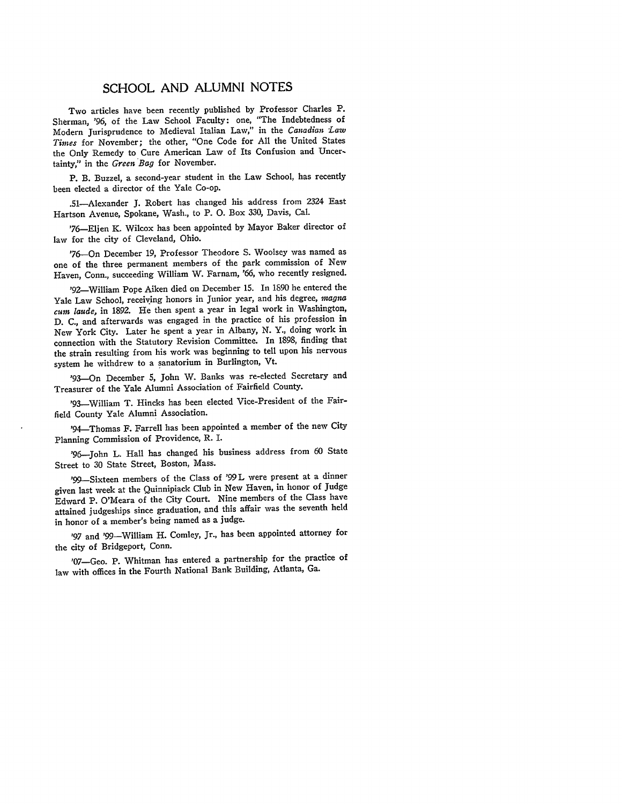## SCHOOL AND ALUMNI NOTES

Two articles have been recently published by Professor Charles P. Sherman, '96, of the Law School Faculty: one, "The Indebtedness of Modern jurisprudence to Medieval Italian Law," in the *Canadian "Law Times* for November; the other, "One Code for **All** the United States the Only Remedy to Cure American Law of Its Confusion and Uncertainty," in the *Green Bag* for November.

P. B. Buzzel, a second-year student in the Law School, has recently been elected a director of the Yale Co-op.

.51-Alexander **J.** Robert has changed his address from 2324 East Hartson Avenue, Spokane, Wash., to P. **0.** Box **330,** Davis, Cal.

'76-Eljen K. Wilcox has been appointed **by** Mayor Baker director of law for the city of Cleveland, Ohio.

'76-On December 19, Professor Theodore **S.** Woolsey was named as one of the three permanent members of the park commission of New Haven, Conn., succeeding William W. Farnam, *'66,* who recently resigned.

'92-William Pope Aiken died on December **15.** In **1890** he entered the Yale Law School, receiving honors in Junior year, and his degree, magna *cum laude,* in **1892.** He then spent a year in legal work in Washington, **D. C.,** and afterwards was engaged in the practice of his profession in New York City. Later he spent a year in Albany, **N.** Y., doing work in connection with the Statutory Revision Committee. In **1898,** finding that the strain resulting from his work was beginning to tell upon his nervous system he withdrew to a sanatorium in Burlington, Vt.

'93-On December **5,** John W. Banks was re-elected Secretary and Treasurer of the Yale Alumni Association of Fairfield County.

'93-William T. Hincks has been elected Vice-President of the Fairfield County Yale Alumni Association.

'94-Thomas F. Farrell has been appointed a member of the new City Planning Commission of Providence, R. I.

'96-John L. Hall has changed his business address from **60** State Street to **30** State Street, Boston, Mass.

'99--Sixteen members of the Class of '99 **L** were present at a dinner given last week at the Quinnipiack Club in New Haven, in honor of Judge Edward P. O'Meara of the City Court. Nine members of the Class have attained judgeships since graduation, and this affair was the seventh held in honor of a member's being named as a judge.

**'97** and '99-William H. Comley, Jr., has been appointed attorney for the city of Bridgeport, Conn.

'07-Geo. P. Whitman has entered a partnership for the practice of law with offices in the Fourth National Bank Building, Atlanta, Ga.